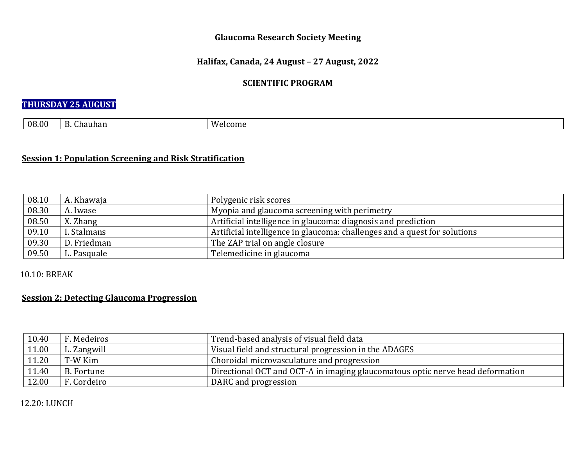### **Glaucoma Research Society Meeting**

### **Halifax, Canada, 24 August – 27 August, 2022**

## **SCIENTIFIC PROGRAM**

## **THURSDAY 25 AUGUST**

|  | 08.00 | $\mathbf{\bar{a}}$<br>$\sim$<br><u>. D</u><br>iuhan<br>unar<br>້ | A N<br>ിcome - |
|--|-------|------------------------------------------------------------------|----------------|
|--|-------|------------------------------------------------------------------|----------------|

## **<u>Session 1: Population Screening and Risk Stratification</u>**

| 08.10 | A. Khawaja  | Polygenic risk scores                                                     |
|-------|-------------|---------------------------------------------------------------------------|
| 08.30 | A. Iwase    | Myopia and glaucoma screening with perimetry                              |
| 08.50 | X. Zhang    | Artificial intelligence in glaucoma: diagnosis and prediction             |
| 09.10 | I. Stalmans | Artificial intelligence in glaucoma: challenges and a quest for solutions |
| 09.30 | D. Friedman | The ZAP trial on angle closure                                            |
| 09.50 | L. Pasquale | Telemedicine in glaucoma                                                  |

### 10.10: BREAK

## **<u>Session 2: Detecting Glaucoma Progression</u>**

| 10.40 | F. Medeiros | Trend-based analysis of visual field data                                      |
|-------|-------------|--------------------------------------------------------------------------------|
| 11.00 | L. Zangwill | Visual field and structural progression in the ADAGES                          |
| 11.20 | T-W Kim     | Choroidal microvasculature and progression                                     |
| 11.40 | B. Fortune  | Directional OCT and OCT-A in imaging glaucomatous optic nerve head deformation |
| 12.00 | F. Cordeiro | DARC and progression                                                           |

#### 12.20: LUNCH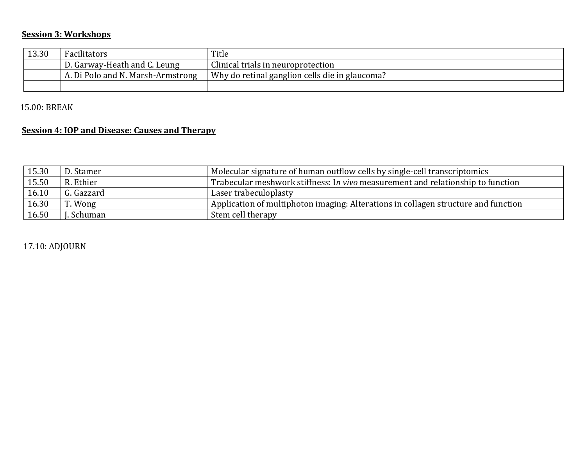# **Session 3: Workshops**

| 13.30 | Facilitators                      | Title                                          |
|-------|-----------------------------------|------------------------------------------------|
|       | D. Garway-Heath and C. Leung      | Clinical trials in neuroprotection             |
|       | A. Di Polo and N. Marsh-Armstrong | Why do retinal ganglion cells die in glaucoma? |
|       |                                   |                                                |

15.00: BREAK

# **<u>Session 4: IOP and Disease: Causes and Therapy</u>**

| 15.30 | D. Stamer  | Molecular signature of human outflow cells by single-cell transcriptomics          |
|-------|------------|------------------------------------------------------------------------------------|
| 15.50 | R. Ethier  | Trabecular meshwork stiffness: In vivo measurement and relationship to function    |
| 16.10 | G. Gazzard | Laser trabeculoplasty                                                              |
| 16.30 | r. Wong    | Application of multiphoton imaging: Alterations in collagen structure and function |
| 16.50 | Schuman    | Stem cell therapy                                                                  |

17.10: ADJOURN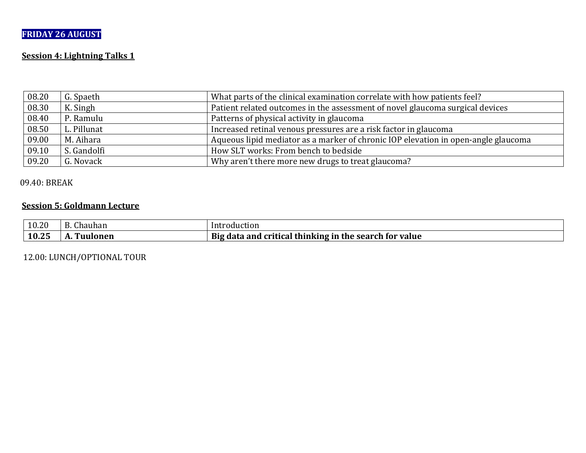# **FRIDAY 26 AUGUST**

## **<u>Session 4: Lightning Talks 1</u>**

| 08.20 | G. Spaeth   | What parts of the clinical examination correlate with how patients feel?           |
|-------|-------------|------------------------------------------------------------------------------------|
| 08.30 | K. Singh    | Patient related outcomes in the assessment of novel glaucoma surgical devices      |
| 08.40 | P. Ramulu   | Patterns of physical activity in glaucoma                                          |
| 08.50 | L. Pillunat | Increased retinal venous pressures are a risk factor in glaucoma                   |
| 09.00 | M. Aihara   | Aqueous lipid mediator as a marker of chronic IOP elevation in open-angle glaucoma |
| 09.10 | S. Gandolfi | How SLT works: From bench to bedside                                               |
| 09.20 | G. Novack   | Why aren't there more new drugs to treat glaucoma?                                 |

### 09.40: BREAK

## **<u>Session 5: Goldmann Lecture</u>**

| 10.20 | $\mathbf{R}$<br>$\sim$<br>Chauhan  | troduction<br>In.                                                                |
|-------|------------------------------------|----------------------------------------------------------------------------------|
| 10.25 | $\mathbf{r}$<br>Ionen<br>Fut<br>н. | <b>Big</b><br>' thinking in<br>the search .<br>tor value<br>data and<br>critical |

12.00: LUNCH/OPTIONAL TOUR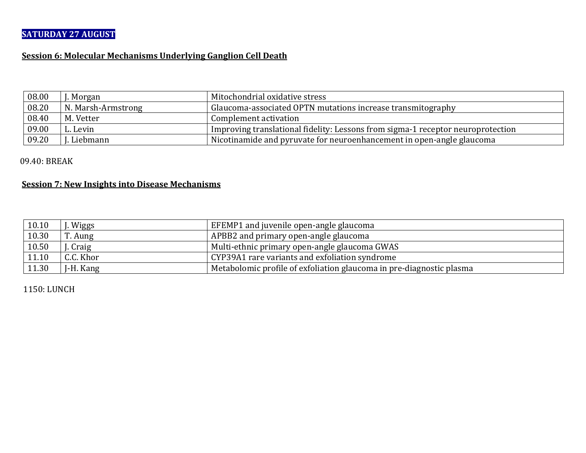# **SATURDAY 27 AUGUST**

### **<u>Session 6: Molecular Mechanisms Underlying Ganglion Cell Death</u>**

| 08.00 | . Morgan           | Mitochondrial oxidative stress                                                  |
|-------|--------------------|---------------------------------------------------------------------------------|
| 08.20 | N. Marsh-Armstrong | Glaucoma-associated OPTN mutations increase transmitography                     |
| 08.40 | M. Vetter          | Complement activation                                                           |
| 09.00 | L. Levin           | Improving translational fidelity: Lessons from sigma-1 receptor neuroprotection |
| 09.20 | . Liebmann         | Nicotinamide and pyruvate for neuroenhancement in open-angle glaucoma           |

09.40: BREAK

#### **<u>Session 7: New Insights into Disease Mechanisms</u>**

| 10.10 | . Wiggs   | EFEMP1 and juvenile open-angle glaucoma                              |
|-------|-----------|----------------------------------------------------------------------|
| 10.30 | T. Aung   | APBB2 and primary open-angle glaucoma                                |
| 10.50 | Craig     | Multi-ethnic primary open-angle glaucoma GWAS                        |
| 11.10 | C.C. Khor | CYP39A1 rare variants and exfoliation syndrome                       |
| 11.30 | J-H. Kang | Metabolomic profile of exfoliation glaucoma in pre-diagnostic plasma |

1150: LUNCH